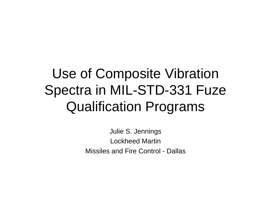## Use of Composite Vibration Spectra in MIL-STD-331 Fuze Qualification Programs

Julie S. Jennings Lockheed MartinMissiles and Fire Control - Dallas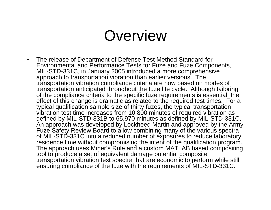### **Overview**

 $\bullet$  The release of Department of Defense Test Method Standard for Environmental and Performance Tests for Fuze and Fuze Components, MIL-STD-331C, in January 2005 introduced a more comprehensive approach to transportation vibration than earlier versions. The transportation vibration compliance criteria are now based on modes of transportation anticipated throughout the fuze life cycle. Although tailoring of the compliance criteria to the specific fuze requirements is essential, the effect of this change is dramatic as related to the required test times. For a typical qualification sample size of thirty fuzes, the typical transportation vibration test time increases from 10,800 minutes of required vibration as defined by MIL-STD-331B to 65,970 minutes as defined by MIL-STD-331C. An approach was developed by Lockheed Martin and approved by the Army Fuze Safety Review Board to allow combining many of the various spectra of MIL-STD-331C into a reduced number of exposures to reduce laboratory residence time without compromising the intent of the qualification program. The approach uses Miner's Rule and a custom MATLAB based compositing tool to produce a set of equivalent damage potential composite transportation vibration test spectra that are economic to perform while still ensuring compliance of the fuze with the requirements of MIL-STD-331C.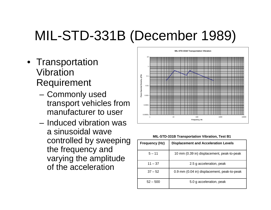## MIL-STD-331B (December 1989)

- Transportation Vibration Requirement
	- – Commonly used transport vehicles from manufacturer to user
	- Induced vibration was a sinusoidal wave controlled by sweeping the frequency and varying the amplitude of the acceleration



| <b>MIL-STD-331B Transportation Vibration, Test B1</b><br>Frequency (Hz)<br><b>Displacement and Acceleration Levels</b><br>$5 - 11$ |            |                                             |  |
|------------------------------------------------------------------------------------------------------------------------------------|------------|---------------------------------------------|--|
|                                                                                                                                    |            |                                             |  |
|                                                                                                                                    |            | 10 mm (0.39 in) displacement, peak-to-peak  |  |
|                                                                                                                                    | $11 - 37$  | 2.5 g acceleration, peak                    |  |
|                                                                                                                                    | $37 - 52$  | 0.9 mm (0.04 in) displacement, peak-to-peak |  |
|                                                                                                                                    | $52 - 500$ | 5.0 g acceleration, peak                    |  |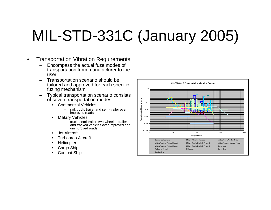# MIL-STD-331C (January 2005)

- • Transportation Vibration Requirements
	- Encompass the actual fuze modes of transportation from manufacturer to the user
	- Transportation scenario should be tailored and approved for each specific fuzing mechanism
	- Typical transportation scenario consists of seven transportation modes:
		- Commercial Vehicles
			- rail, truck, trailer and semi-trailer over improved roads
		- • Military Vehicles
			- truck, semi-trailer, two-wheeled trailer and tracked vehicles over improved and unimproved roads
		- •Jet Aircraft
		- •Turboprop Aircraft
		- •**Helicopter**
		- •Cargo Ship
		- •Combat Ship

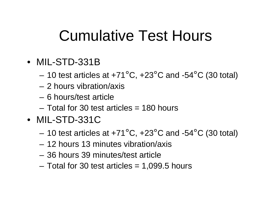## Cumulative Test Hours

- MIL-STD-331B
	- $-$  10 test articles at +71°C, +23°C and -54°C (30 total)
	- 2 hours vibration/axis
	- 6 hours/test article
	- Total for 30 test articles = 180 hours
- MIL-STD-331C
	- $-$  10 test articles at +71°C, +23°C and -54°C (30 total)
	- 12 hours 13 minutes vibration/axis
	- 36 hours 39 minutes/test article
	- Total for 30 test articles = 1,099.5 hours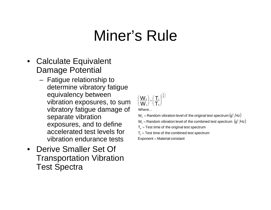## Miner's Rule

- $\bullet$  Calculate Equivalent Damage Potential
	- Fatigue relationship to determine vibratory fatigue equivalency between vibration exposures, to sum vibratory fatigue damage of separate vibration exposures, and to define accelerated test levels for vibration endurance tests
- Derive Smaller Set Of Transportation Vibration Test Spectra

$$
\left(\frac{W_o}{W_1}\right) = \left(\frac{T_1}{T_o}\right)^{\left(\frac{1}{4}\right)}
$$
  
Where...

- W $_{\rm o}$  = Random vibration level of the original test spectrum  $\left({\rm g^2/Hz}\right)$
- W $_1$  = Random vibration level of the combined test spectrum  $\left({\bf g}^2/{\sf Hz}\right)$
- ${\sf T}_{\rm o}$  = Test time of the original test spectrum
- ${\sf T}_{{\sf 1}}$  = Test time of the combined test spectrum

Exponent = Material constant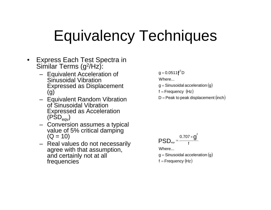## Equivalency Techniques

- $\bullet$  Express Each Test Spectra in Similar Terms (g 2/Hz):
	- Equivalent Acceleration of Sinusoidal Vibration Expressed as Displacement (g)
	- Equivalent Random Vibration of Sinusoidal Vibration Expressed as Acceleration  $(PSD_{\text{eav}})$
	- Conversion assumes a typical value of 5% critical damping  $(Q = 10)$
	- Real values do not necessarily agree with that assumption, and certainly not at all frequencies

 $g = 0.0511$ **f**<sup>2</sup>D

Where...

- g = Sinusoidal acceleration  $(\mathsf{g})$
- $f =$ Frequency  $(Hz)$
- $D =$  Peak to peak displacement (inch)

$$
PSD_{\text{eqv}} = \frac{0.707 \times g^2}{f}
$$

Where...

- g = Sinusoidal acceleration  $(\mathsf{g})$
- $f =$  Frequency  $(Hz)$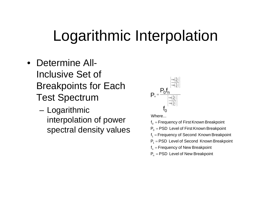## Logarithmic Interpolation

- Determine All-Inclusive Set of Breakpoints for Each Test Spectrum
	- Logarithmic interpolation of power spectral density values



Where...

 $\boldsymbol{\mathsf{f}}_{_{\mathsf{0}}}$  = Frequency of First Known Breakpoint

 $\mathsf{P}_\mathrm{o} = \mathsf{PSD}\,$  Level of First Known Breakpoint

 $\mathsf{f}_1^{}$  = Frequency of Second Known Breakpoint

 $P_1$  = PSD Level of Second Known Breakpoint

f<sub>n</sub> = Frequency of New Breakpoint

 $P_n = PSD$  Level of New Breakpoint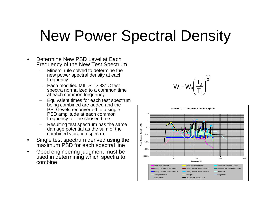## New Power Spectral Density

- • Determine New PSD Level at Each Frequency of the New Test Spectrum
	- Miners' rule solved to determine the new power spectral density at each frequency
	- Each modified MIL-STD-331C test spectra normalized to a common time at each common frequency
	- Equivalent times for each test spectrum being combined are added and the PSD levels reconverted to a single PSD amplitude at each common frequency for the chosen time
	- Resulting test spectrum has the same damage potential as the sum of the combined vibration spectra
- • Single test spectrum derived using the maximum PSD for each spectral line
- • Good engineering judgment must be used in determining which spectra to combine

$$
W_1 = W_0 \left(\frac{T_0}{T_1}\right)^{\left(\frac{1}{4}\right)}
$$

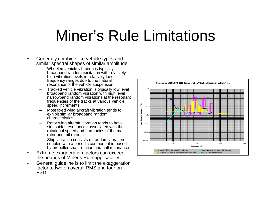## Miner's Rule Limitations

- • Generally combine like vehicle types and similar spectral shapes of similar amplitude
	- – Wheeled vehicle vibration is typically broadband random excitation with relatively high vibration levels in relatively low frequency ranges due to the natural resonance of the vehicle suspension
	- Tracked vehicle vibration is typically low level broadband random vibration with high level narrowband random vibrations at the resonant frequencies of the tracks at various vehicle speed increments
	- – Most fixed wing aircraft vibration tends to exhibit similar broadband random characteristics
	- – Rotor wing aircraft vibration tends to have sinusoidal resonances associated with the rotational speed and harmonics of the main rotor and tail rotor
	- – Ship vibration consists of random vibration coupled with a periodic component imposed by propeller shaft rotation and hull resonance
- • Extreme exaggeration factors can exceed the bounds of Miner's Rule applicability
- • General guideline is to limit the exaggeration factor to two on overall RMS and four on PSD

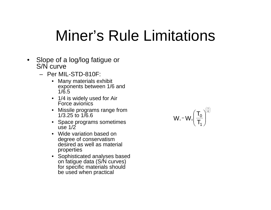## Miner's Rule Limitations

- Slope of a log/log fatigue or S/N curve
	- Per MIL-STD-810F:
		- Many materials exhibit exponents between 1/6 and 1/6.5
		- 1/4 is widely used for Air Force avionics
		- $\bullet$  Missile programs range from 1/3.25 to 1/6.6
		- Space programs sometimes use  $1/2$
		- Wide variation based on degree of conservatism desired as well as material properties
		- Sophisticated analyses based on fatigue data (S/N curves) for specific materials should be used when practical

$$
W_1 = W_0 \left(\frac{T_0}{T_1}\right)^{\left(\frac{1}{4}\right)}
$$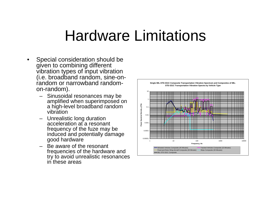### Hardware Limitations

- • Special consideration should be given to combining different vibration types of input vibration (i.e. broadband random, sine-onrandom or narrowband randomon-random).
	- – Sinusoidal resonances may be amplified when superimposed on a high-level broadband random vibration
	- – Unrealistic long duration acceleration at a resonant frequency of the fuze may be induced and potentially damage good hardware
	- – Be aware of the resonant frequencies of the hardware and try to avoid unrealistic resonances in these areas

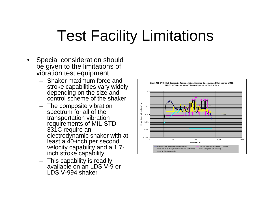## Test Facility Limitations

- • Special consideration should be given to the limitations of vibration test equipment
	- Shaker maximum force and stroke capabilities vary widely depending on the size and control scheme of the shaker
	- The composite vibration spectrum for all of the transportation vibration requirements of MIL-STD-331C require an electrodynamic shaker with at least a 40-inch per second velocity capability and a 1.7 inch stroke capability
	- This capability is readily available on an LDS V-9 or LDS V-994 shaker

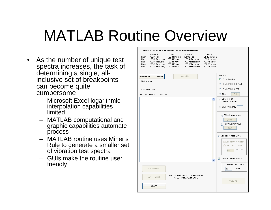## MATLAB Routine Overview

- As the number of unique test spectra increases, the task of determining a single, allinclusive set of breakpoints can become quite cumbersome
	- Microsoft Excel logarithmic interpolation capabilities limited
	- MATLAB computational and graphic capabilities automate process
	- MATLAB routine uses Miner's Rule to generate a smaller set of vibration test spectra
	- GUIs make the routine user friendly

| IMPORTED EXCEL FILE MUST BE IN THE FOLLOWING FORMAT                                                                                                                                                                 |                             |                                                                                                          |                                                                                             |                                                                                                                        |  |  |  |  |  |
|---------------------------------------------------------------------------------------------------------------------------------------------------------------------------------------------------------------------|-----------------------------|----------------------------------------------------------------------------------------------------------|---------------------------------------------------------------------------------------------|------------------------------------------------------------------------------------------------------------------------|--|--|--|--|--|
| Column 1<br>PSD #1 Title<br>Line 1<br>PSD #1 Frequency    PSD #1 Value<br>Line 2<br>Line 3<br>PSD #1 Frequency    PSD #1 Value<br>PSD #1 Frequency    PSD #1 Value<br>Line 4<br>Line  PSD #1 Frequency PSD #1 Value | Column 2<br>PSD #1 Duration | Column 3<br>PSD #2 Title<br>PSD #2 Frequency<br>PSD #2 Frequency<br>PSD #2 Frequency<br>PSD #2 Frequency | Column 4<br>PSD #2 Duration<br>PSD #2 Value<br>PSD #2 Value<br>PSD #2 Value<br>PSD #2 Value |                                                                                                                        |  |  |  |  |  |
| Browse for Input Excel File<br>File Location<br>Worksheet Name<br>PSD Title<br>Minutes<br><b>GRMS</b>                                                                                                               |                             | Open File                                                                                                |                                                                                             | Select S/N<br>6.5 LM Standard<br>6.0 MIL-STD-810 G-Peak<br>4.0 MIL-STD-810 PSD<br>$\bigcirc$ Other<br>6.5              |  |  |  |  |  |
|                                                                                                                                                                                                                     |                             |                                                                                                          | ۸                                                                                           | Composite of<br>$_{\odot}$<br>Original Frequencies<br>O Other Frequency<br>1                                           |  |  |  |  |  |
|                                                                                                                                                                                                                     |                             |                                                                                                          |                                                                                             | PSD Minimum Value<br>0.0001<br>PSD Maximum Value<br>10.0                                                               |  |  |  |  |  |
|                                                                                                                                                                                                                     |                             |                                                                                                          | $\checkmark$                                                                                | Calculate Category PSD<br>(a) Use minimum duration<br>◯ Use other duration<br>minutes<br>60<br>Calculate Composite PSD |  |  |  |  |  |
| Plot Selected                                                                                                                                                                                                       |                             |                                                                                                          |                                                                                             | Desidred Test Duration<br>minutes<br>60                                                                                |  |  |  |  |  |
| Write to Excel                                                                                                                                                                                                      |                             | VVRITES TO FILE USED TO IMPORT DATA.<br>SHEET NAMED 'COMPOSITE'                                          |                                                                                             | Calculate                                                                                                              |  |  |  |  |  |
| CLOSE                                                                                                                                                                                                               |                             |                                                                                                          |                                                                                             |                                                                                                                        |  |  |  |  |  |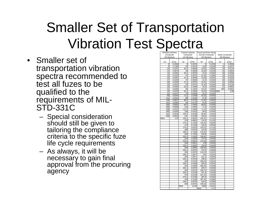## Smaller Set of Transportation Vibration Test Spectra

- Smaller set of transportation vibration spectra recommended to test all fuzes to be qualified to the requirements of MIL-STD-331C
	- Special consideration should still be given to tailoring the compliance criteria to the specific fuze life cycle requirements
	- As always, it will be necessary to gain final approval from the procuring agency

| <b>Wheeled Vehicles</b>   |           |              | <b>Tracked Vehicles</b> |                    | Fixed and Rotor Wing |                 |           |
|---------------------------|-----------|--------------|-------------------------|--------------------|----------------------|-----------------|-----------|
| Composite<br>(45 Minutes) |           | Composite    |                         | Aircraft Composite |                      | Ships Composite |           |
|                           |           | (15 Minutes) |                         | (30 Minutes)       |                      | (30 Minutes)    |           |
|                           |           |              |                         |                    |                      |                 |           |
| Hz                        | $q^2$ /Hz | Hz           | $g^2$ /Hz               | Hz                 | $g^2$ /Hz            | Hz              | $g^2$ /Hz |
| 5                         | 0.2568    | 5            | 0.0075                  | 5                  | 0.0238               | 4               | 0.0006    |
| 8                         | 0.7300    | 30           | 0.0075                  | 10.8               | 0.0238               | 15              | 0.0317    |
| 10                        |           | 30.1         | 0.0828                  | 10.81              | 0.0942               | 16              | 0.0172    |
|                           | 0.2207    |              |                         |                    |                      |                 |           |
| 12<br>14                  | 0.0879    | 35           | 0.0828                  | 10.82              | 0.0238               | 25              | 0.0653    |
|                           | 0.0491    | 35.1         | 0.0075                  | 21.6               | 0.0245               | 26              | 0.0184    |
| 15                        | 0.0703    | 41           | 0.0075                  | 21.61              | 0.1884               | 33              | 0.0376    |
| 20                        | 0.0397    | 41.1         | 0.0649                  | 21.62              | 0.0245               | 34              | 0.0103    |
| 27                        | 0.0249    | 47           | 0.0649                  | 32.4               | 0.0245               | 40              | 0.0167    |
| 30                        | 0.0294    | 47.1         | 0.0075                  | 32.41              | 0.1622               | 41              | 0.0065    |
| 34                        | 0.0223    | 53           | 0.0075                  | 32.42              | 0.0245               | 50              | 0.0118    |
| 36                        | 0.0391    | 53.1         | 0.1400                  | 43.2               | 0.0245               | 51              | 0.0001    |
| 41                        | 0.0206    | 65           | 0.1402                  | 43.21              | 0.0942               | 500             | 0.0001    |
| 45                        | 0.0239    | 65.1         | 0.0383                  | 43.22              | 0.0245 RMS           |                 | 0.99      |
| 51                        | 0.0147    | 70           | 0.0383                  | 52.3               | 0.0245               |                 |           |
| 95                        | 0.0244    | 71.1         | 1.0140                  | 52.31              | 0.4243               |                 |           |
| 111                       | 0.0153    | 88           | 1.0140                  | 57.8               | 0.4243               |                 |           |
| 136                       | 0.0627    | 88.1         | 0.0718                  | 57.81              | 0.0245               |                 |           |
| 151                       | 0.0269    | 94           | 0.0723                  | 64.6               | 0.0245               |                 |           |
| 185                       | 0.0554    | 94.1         | 1.5404                  | 64.61              | 0.4243               |                 |           |
| 266                       | 0.0509    | 112          | 1.5404                  | 71.4               | 0.4243               |                 |           |
| 338                       | 0.0132    | 112.1        | 0.0308                  | 71.41              | 0.0245               |                 |           |
| 360                       | 0.0250    | 130          |                         | 96.9               | 0.0245               |                 |           |
|                           |           |              | 0.0310                  |                    |                      |                 |           |
| 431                       | 0.0218    | 130.1        | 0.0138                  | 96.91              | 0.4243               |                 |           |
| 500                       | 0.0019    | 140          | 0.0138                  | 104.5              | 0.4243               |                 |           |
| <b>RMS</b>                | 4.03      | 150.1        | 0.9622                  | 104.51             | 0.1132               |                 |           |
|                           |           | 175          | 0.9622                  | 115.5              | 0.1132               |                 |           |
|                           |           | 175.1        | 0.1419                  | 115.51             | 0.0245               |                 |           |
|                           |           | 176          | 0.1419                  | 129.2              | $0.\overline{0245}$  |                 |           |
|                           |           | 176.1        | 0.0678                  | 129.21             | 0.1132               |                 |           |
|                           |           | 188          | 0.0678                  | 142.8              | 0.1132               |                 |           |
|                           |           | 188.1        | 0.7265                  | 142.81             | 0.0245               |                 |           |
|                           |           | 205          | 0.7265                  | 156.8              | 0.0245               |                 |           |
|                           |           | 205.1        | 1.0323                  | 156.81             | 0.0434               |                 |           |
|                           |           | 224          | 1.0323                  | 173.3              | 0.0434               |                 |           |
|                           |           | 224.1        | 0.9621                  | 173.31             | 0.0245               |                 |           |
|                           |           | 235          | 0.9621                  | 178                | 0.0245               |                 |           |
|                           |           | 235.1        | 0.0832                  | 193.8              | 0.0245               |                 |           |
|                           |           | 264          | 0.0826                  | 193.81             | 0.0434               |                 |           |
|                           |           | 264.1        | 0.0075                  | 214.2              | 0.0435               |                 |           |
|                           |           | 265          | 0.0075                  | 214.21             | 0.0313               |                 |           |
|                           |           | 265.1        | 1.0077                  | 231                | 0.0314               |                 |           |
|                           |           | 325          | 1.0077                  | 231.1              | 0.0246               |                 |           |
|                           |           | 325.1        | 0.0754                  | 258.4              | 0.0247               |                 |           |
|                           |           | 336          | 0.0754                  | 258.41             | 0.0314               |                 |           |
|                           |           | 336.1        | 0.0358                  | 285.6              | 0.0315               |                 |           |
|                           |           |              |                         |                    |                      |                 |           |
|                           |           | 352          | 0.0358                  | 285.61             | 0.0248               |                 |           |
|                           |           | 352.1        | 0.0075                  | 290.7              | 0.0249               |                 |           |
|                           |           | 355          | 0.0075                  | 290.71             | 0.0435               |                 |           |
|                           |           | 355.1        | 0.0128                  | 321.3              | 0.0428               |                 |           |
|                           |           | 376          | 0.0128                  | 321.31             | 0.0200               |                 |           |
|                           |           | 376.1        | 0.2156                  | 387.6              | 0.0163               |                 |           |
|                           |           | 448          | 0.2156                  | 387.61             | 0.0286               |                 |           |
|                           |           | 448.1        | 0.0075                  | 428.4              | 0.0286               |                 |           |
|                           |           | 500          | 0.0075                  | 428.41             | 0.0161               |                 |           |
|                           |           | <b>RMS</b>   | 14.05                   | 2000               | 0.0141               |                 |           |
|                           |           |              |                         | <b>RMS</b>         | 6.71                 |                 |           |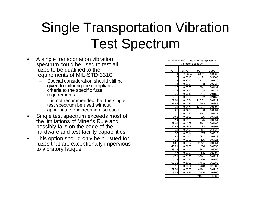### Single Transportation Vibration Test Spectrum

- • A single transportation vibration spectrum could be used to test all fuzes to be qualified to the requirements of MIL-STD-331C
	- Special consideration should still be given to tailoring the compliance criteria to the specific fuze requirements
	- It is not recommended that the single test spectrum be used without appropriate engineering discretion
- • Single test spectrum exceeds most of the limitations of Miner's Rule and possibly falls on the edge of the hardware and test facility capabilities
- $\bullet$  This option should only be pursued for fuzes that are exceptionally impervious to vibratory fatigue

| MIL-STD-331C Composite Transportation |                 |                     |           |  |  |  |  |
|---------------------------------------|-----------------|---------------------|-----------|--|--|--|--|
| <b>Vibration Spectrum</b>             |                 |                     |           |  |  |  |  |
| Hz                                    | $q^2$ /Hz<br>Hz |                     | $g^2$ /Hz |  |  |  |  |
| 4                                     | 0.0004          | 64.61               | 0.3005    |  |  |  |  |
| 5                                     | 0.2010          | 71                  | 0.3000    |  |  |  |  |
| 8                                     | 0.5712          | 71.1                | 0.6120    |  |  |  |  |
| 14                                    | 0.0392          | 88                  | 0.6030    |  |  |  |  |
| 15                                    | 0.0555          | 88.1                | 0.0432    |  |  |  |  |
| 16                                    | 0.0417          | 94                  | 0.0437    |  |  |  |  |
| 20                                    | 0.0340          | 94.1                | 0.9159    |  |  |  |  |
| 21.6                                  | 0.0351          | 112                 | 0.9160    |  |  |  |  |
| 21.61                                 | 0.1334          | 115.51              | 0.0227    |  |  |  |  |
| 21.62                                 | 0.0351          | 129.2               | 0.0356    |  |  |  |  |
| 25                                    | 0.0470          | 129.21              | 0.0808    |  |  |  |  |
| 26                                    | 0.0233          | 150                 | 0.0834    |  |  |  |  |
| 30                                    | 0.0270          | 150.1               | 0.5721    |  |  |  |  |
| 30.1                                  | 0.0503          | 175                 | 0.5721    |  |  |  |  |
| 32.4                                  | 0.0505          | 176                 | 0.0851    |  |  |  |  |
| 32.41                                 | 0.1157          | 176.1               | 0.0460    |  |  |  |  |
| 32.42                                 | 0.0505          | 188                 | 0.0501    |  |  |  |  |
| 35                                    | 0.0498          | 188.1               | 0.4320    |  |  |  |  |
| 36                                    | 0.0314          | 205                 | 0.4320    |  |  |  |  |
| 41                                    | 0.0200          | 205.1               | 0.6138    |  |  |  |  |
| 41.1                                  | 0.0392          | 235                 | 0.5721    |  |  |  |  |
| 43.2                                  | 0.0392          | 235.1               | 0.0564    |  |  |  |  |
| 43.21                                 | 0.0685          | 264                 | 0.0553    |  |  |  |  |
| 43.22                                 | 0.0392          | 265.1               | 0.5992    |  |  |  |  |
| 47                                    | 0.0392          | 325                 | 0.5992    |  |  |  |  |
| 47.1                                  | 0.0196          | 336.1               | 0.0222    |  |  |  |  |
| 52.3                                  | 0.0181          | 376                 | 0.0150    |  |  |  |  |
| 52.31                                 | 0.3000          | 376.1               | 0.1282    |  |  |  |  |
| 57.8                                  | 0.3004          | 448                 | 0.1282    |  |  |  |  |
| 57.81                                 | 0.0833          | 448.1               | 0.0115    |  |  |  |  |
| 64.6                                  | 0.0834          | 2000<br>0.0100      |           |  |  |  |  |
|                                       |                 | <b>RMS</b><br>11.88 |           |  |  |  |  |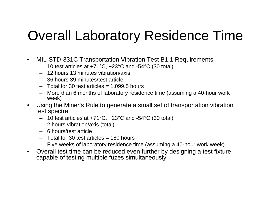#### Overall Laboratory Residence Time

- $\bullet$  MIL-STD-331C Transportation Vibration Test B1.1 Requirements
	- 10 test articles at +71°C, +23°C and -54°C (30 total)
	- 12 hours 13 minutes vibration/axis
	- 36 hours 39 minutes/test article
	- Total for 30 test articles = 1,099.5 hours
	- More than 6 months of laboratory residence time (assuming a 40-hour work week)
- $\bullet$  Using the Miner's Rule to generate a small set of transportation vibration test spectra
	- 10 test articles at +71°C, +23°C and -54°C (30 total)
	- 2 hours vibration/axis (total)
	- 6 hours/test article
	- Total for 30 test articles = 180 hours
	- Five weeks of laboratory residence time (assuming a 40-hour work week)
- Overall test time can be reduced even further by designing a test fixture capable of testing multiple fuzes simultaneously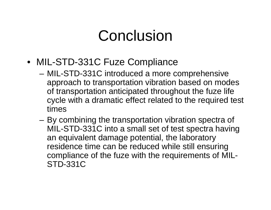## Conclusion

- MIL-STD-331C Fuze Compliance
	- MIL-STD-331C introduced a more comprehensive approach to transportation vibration based on modes of transportation anticipated throughout the fuze life cycle with a dramatic effect related to the required test times
	- By combining the transportation vibration spectra of MIL-STD-331C into a small set of test spectra having an equivalent damage potential, the laboratory residence time can be reduced while still ensuring compliance of the fuze with the requirements of MIL-STD-331C